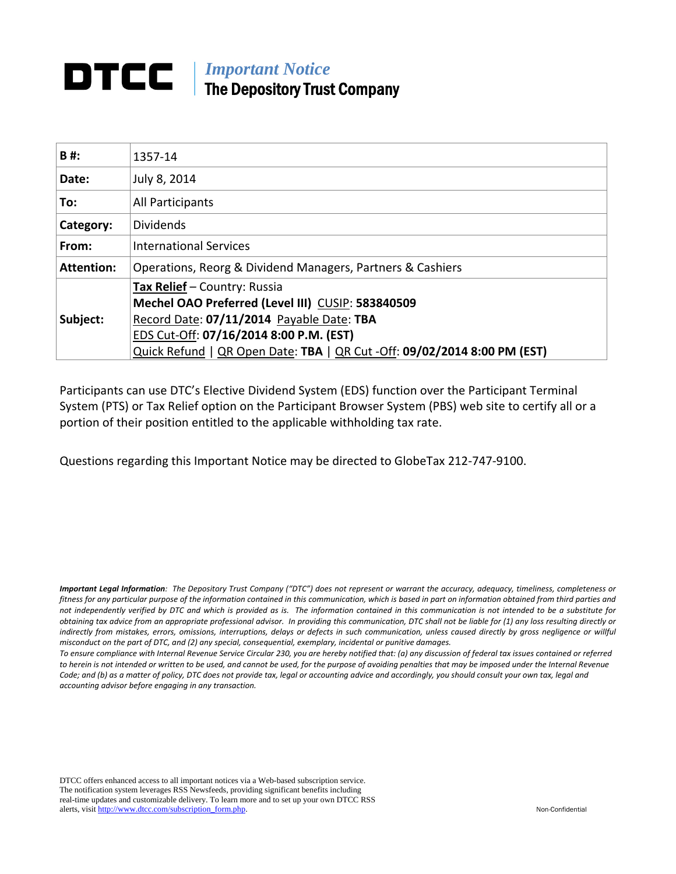# *Important Notice*  The Depository Trust Company

| B#:               | 1357-14                                                                  |  |
|-------------------|--------------------------------------------------------------------------|--|
| Date:             | July 8, 2014                                                             |  |
| To:               | All Participants                                                         |  |
| Category:         | <b>Dividends</b>                                                         |  |
| From:             | <b>International Services</b>                                            |  |
| <b>Attention:</b> | Operations, Reorg & Dividend Managers, Partners & Cashiers               |  |
|                   | Tax Relief - Country: Russia                                             |  |
|                   | Mechel OAO Preferred (Level III) CUSIP: 583840509                        |  |
| Subject:          | Record Date: 07/11/2014 Payable Date: TBA                                |  |
|                   | EDS Cut-Off: 07/16/2014 8:00 P.M. (EST)                                  |  |
|                   | Quick Refund   QR Open Date: TBA   QR Cut -Off: 09/02/2014 8:00 PM (EST) |  |

Participants can use DTC's Elective Dividend System (EDS) function over the Participant Terminal System (PTS) or Tax Relief option on the Participant Browser System (PBS) web site to certify all or a portion of their position entitled to the applicable withholding tax rate.

Questions regarding this Important Notice may be directed to GlobeTax 212‐747‐9100.

Important Legal Information: The Depository Trust Company ("DTC") does not represent or warrant the accuracy, adequacy, timeliness, completeness or fitness for any particular purpose of the information contained in this communication, which is based in part on information obtained from third parties and not independently verified by DTC and which is provided as is. The information contained in this communication is not intended to be a substitute for obtaining tax advice from an appropriate professional advisor. In providing this communication, DTC shall not be liable for (1) any loss resulting directly or indirectly from mistakes, errors, omissions, interruptions, delays or defects in such communication, unless caused directly by gross negligence or willful *misconduct on the part of DTC, and (2) any special, consequential, exemplary, incidental or punitive damages.*

To ensure compliance with Internal Revenue Service Circular 230, you are hereby notified that: (a) any discussion of federal tax issues contained or referred to herein is not intended or written to be used, and cannot be used, for the purpose of avoiding penalties that may be imposed under the Internal Revenue Code; and (b) as a matter of policy, DTC does not provide tax, legal or accounting advice and accordingly, you should consult your own tax, legal and *accounting advisor before engaging in any transaction.*

DTCC offers enhanced access to all important notices via a Web-based subscription service. The notification system leverages RSS Newsfeeds, providing significant benefits including real-time updates and customizable delivery. To learn more and to set up your own DTCC RSS alerts, visit http://www.dtcc.com/subscription\_form.php. Non-Confidential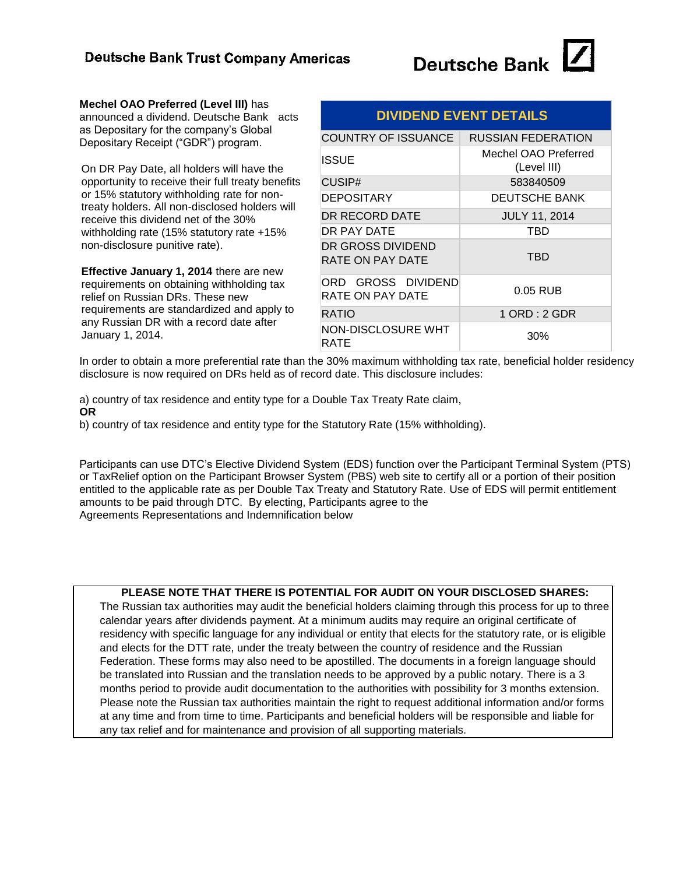

**Mechel OAO Preferred (Level III)** has announced a dividend. Deutsche Bank acts as Depositary for the company's Global Depositary Receipt ("GDR") program.

On DR Pay Date, all holders will have the opportunity to receive their full treaty benefits or 15% statutory withholding rate for nontreaty holders. All non-disclosed holders will receive this dividend net of the 30% withholding rate (15% statutory rate +15% non-disclosure punitive rate).

**Effective January 1, 2014** there are new requirements on obtaining withholding tax relief on Russian DRs. These new requirements are standardized and apply to any Russian DR with a record date after January 1, 2014.

| <b>DIVIDEND EVENT DETAILS</b>          |                                     |  |
|----------------------------------------|-------------------------------------|--|
| COUNTRY OF ISSUANCE                    | <b>RUSSIAN FEDERATION</b>           |  |
| ISSUE                                  | Mechel OAO Preferred<br>(Level III) |  |
| CUSIP#                                 | 583840509                           |  |
| DEPOSITARY                             | <b>DEUTSCHE BANK</b>                |  |
| DR RECORD DATE                         | <b>JULY 11, 2014</b>                |  |
| DR PAY DATE                            | TBD                                 |  |
| DR GROSS DIVIDEND<br>RATE ON PAY DATE  | TBD                                 |  |
| ORD GROSS DIVIDEND<br>RATE ON PAY DATE | $0.05$ RUB                          |  |
| RATIO                                  | $1$ ORD : $2$ GDR                   |  |
| NON-DISCLOSURE WHT<br>RATE             | 30%                                 |  |
|                                        |                                     |  |

In order to obtain a more preferential rate than the 30% maximum withholding tax rate, beneficial holder residency disclosure is now required on DRs held as of record date. This disclosure includes:

a) country of tax residence and entity type for a Double Tax Treaty Rate claim, **OR**

b) country of tax residence and entity type for the Statutory Rate (15% withholding).

Participants can use DTC's Elective Dividend System (EDS) function over the Participant Terminal System (PTS) or TaxRelief option on the Participant Browser System (PBS) web site to certify all or a portion of their position entitled to the applicable rate as per Double Tax Treaty and Statutory Rate. Use of EDS will permit entitlement amounts to be paid through DTC. By electing, Participants agree to the Agreements Representations and Indemnification below

#### **PLEASE NOTE THAT THERE IS POTENTIAL FOR AUDIT ON YOUR DISCLOSED SHARES:**

The Russian tax authorities may audit the beneficial holders claiming through this process for up to three calendar years after dividends payment. At a minimum audits may require an original certificate of residency with specific language for any individual or entity that elects for the statutory rate, or is eligible and elects for the DTT rate, under the treaty between the country of residence and the Russian Federation. These forms may also need to be apostilled. The documents in a foreign language should be translated into Russian and the translation needs to be approved by a public notary. There is a 3 months period to provide audit documentation to the authorities with possibility for 3 months extension. Please note the Russian tax authorities maintain the right to request additional information and/or forms at any time and from time to time. Participants and beneficial holders will be responsible and liable for any tax relief and for maintenance and provision of all supporting materials.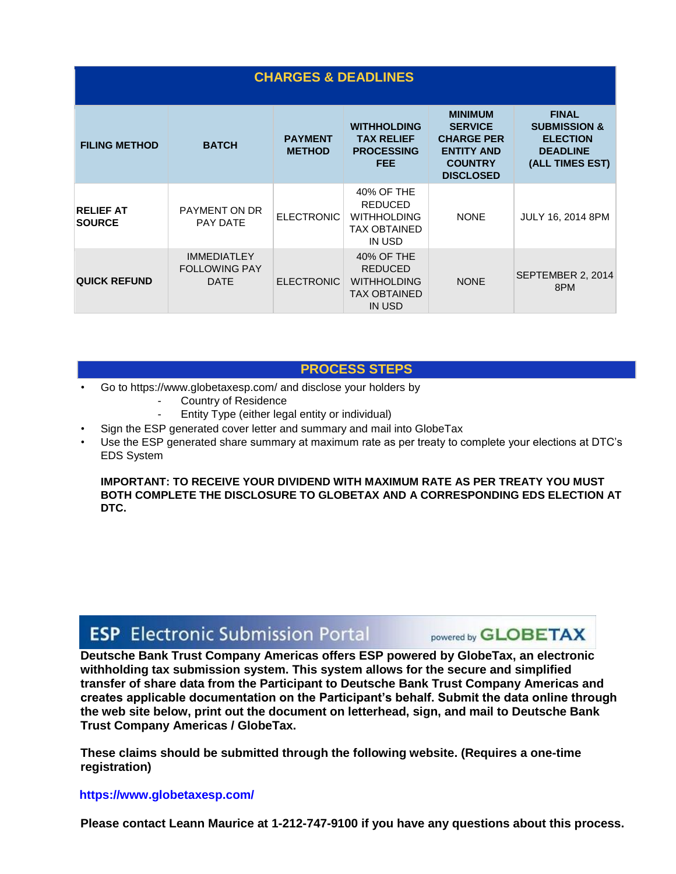| <b>CHARGES &amp; DEADLINES</b>    |                                                           |                                 |                                                                                            |                                                                                                                  |                                                                                                  |
|-----------------------------------|-----------------------------------------------------------|---------------------------------|--------------------------------------------------------------------------------------------|------------------------------------------------------------------------------------------------------------------|--------------------------------------------------------------------------------------------------|
| <b>FILING METHOD</b>              | <b>BATCH</b>                                              | <b>PAYMENT</b><br><b>METHOD</b> | <b>WITHHOLDING</b><br><b>TAX RELIEF</b><br><b>PROCESSING</b><br><b>FEE</b>                 | <b>MINIMUM</b><br><b>SERVICE</b><br><b>CHARGE PER</b><br><b>ENTITY AND</b><br><b>COUNTRY</b><br><b>DISCLOSED</b> | <b>FINAL</b><br><b>SUBMISSION &amp;</b><br><b>ELECTION</b><br><b>DEADLINE</b><br>(ALL TIMES EST) |
| <b>RELIEF AT</b><br><b>SOURCE</b> | <b>PAYMENT ON DR</b><br>PAY DATE                          | <b>ELECTRONIC</b>               | 40% OF THE<br><b>REDUCED</b><br><b>WITHHOLDING</b><br><b>TAX OBTAINED</b><br>IN USD        | <b>NONE</b>                                                                                                      | <b>JULY 16, 2014 8PM</b>                                                                         |
| <b>QUICK REFUND</b>               | <b>IMMEDIATLEY</b><br><b>FOLLOWING PAY</b><br><b>DATE</b> | <b>ELECTRONIC</b>               | 40% OF THE<br><b>REDUCED</b><br><b>WITHHOLDING</b><br><b>TAX OBTAINED</b><br><b>IN USD</b> | <b>NONE</b>                                                                                                      | SEPTEMBER 2, 2014<br>8PM                                                                         |

### **PROCESS STEPS**

- Go to https://www.globetaxesp.com/ and disclose your holders by
	- Country of Residence
	- Entity Type (either legal entity or individual)
- Sign the ESP generated cover letter and summary and mail into GlobeTax
- Use the ESP generated share summary at maximum rate as per treaty to complete your elections at DTC's EDS System

#### **IMPORTANT: TO RECEIVE YOUR DIVIDEND WITH MAXIMUM RATE AS PER TREATY YOU MUST BOTH COMPLETE THE DISCLOSURE TO GLOBETAX AND A CORRESPONDING EDS ELECTION AT DTC.**

# **ESP** Electronic Submission Portal

powered by **GLOBETAX** 

**Deutsche Bank Trust Company Americas offers ESP powered by GlobeTax, an electronic withholding tax submission system. This system allows for the secure and simplified transfer of share data from the Participant to Deutsche Bank Trust Company Americas and creates applicable documentation on the Participant's behalf. Submit the data online through the web site below, print out the document on letterhead, sign, and mail to Deutsche Bank Trust Company Americas / GlobeTax.** 

**These claims should be submitted through the following website. (Requires a one-time registration)** 

#### **https://www.globetaxesp.com/**

**Please contact Leann Maurice at 1-212-747-9100 if you have any questions about this process.**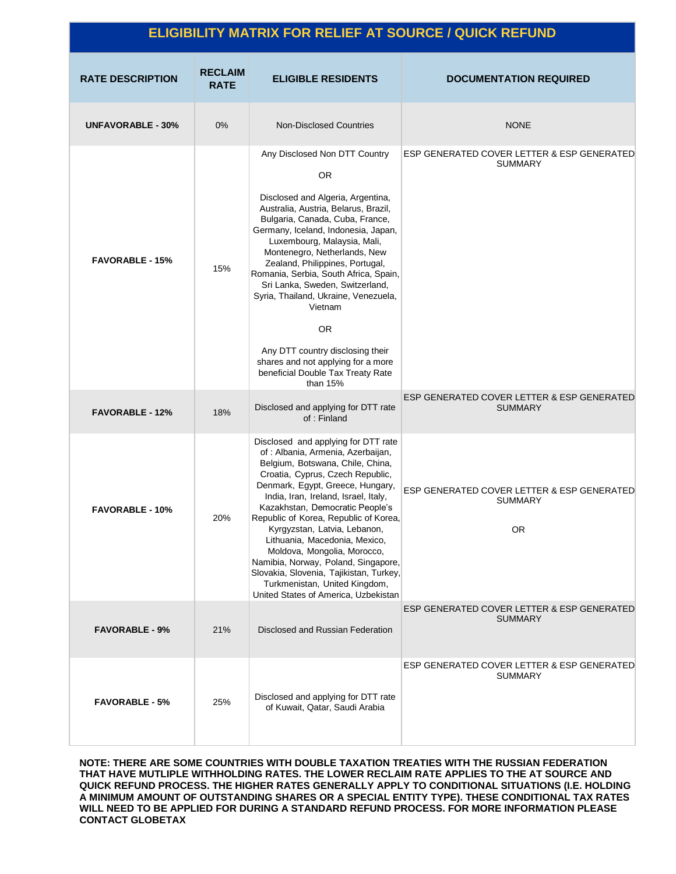| <b>ELIGIBILITY MATRIX FOR RELIEF AT SOURCE / QUICK REFUND</b> |                               |                                                                                                                                                                                                                                                                                                                                                                                                                                                                                                                                                                      |                                                                           |
|---------------------------------------------------------------|-------------------------------|----------------------------------------------------------------------------------------------------------------------------------------------------------------------------------------------------------------------------------------------------------------------------------------------------------------------------------------------------------------------------------------------------------------------------------------------------------------------------------------------------------------------------------------------------------------------|---------------------------------------------------------------------------|
| <b>RATE DESCRIPTION</b>                                       | <b>RECLAIM</b><br><b>RATE</b> | <b>ELIGIBLE RESIDENTS</b>                                                                                                                                                                                                                                                                                                                                                                                                                                                                                                                                            | <b>DOCUMENTATION REQUIRED</b>                                             |
| <b>UNFAVORABLE - 30%</b>                                      | 0%                            | <b>Non-Disclosed Countries</b>                                                                                                                                                                                                                                                                                                                                                                                                                                                                                                                                       | <b>NONE</b>                                                               |
| <b>FAVORABLE - 15%</b>                                        | 15%                           | Any Disclosed Non DTT Country<br><b>OR</b><br>Disclosed and Algeria, Argentina,<br>Australia, Austria, Belarus, Brazil,<br>Bulgaria, Canada, Cuba, France,<br>Germany, Iceland, Indonesia, Japan,<br>Luxembourg, Malaysia, Mali,<br>Montenegro, Netherlands, New<br>Zealand, Philippines, Portugal,<br>Romania, Serbia, South Africa, Spain,<br>Sri Lanka, Sweden, Switzerland,<br>Syria, Thailand, Ukraine, Venezuela,<br>Vietnam<br>0R<br>Any DTT country disclosing their<br>shares and not applying for a more<br>beneficial Double Tax Treaty Rate<br>than 15%  | ESP GENERATED COVER LETTER & ESP GENERATED<br><b>SUMMARY</b>              |
| <b>FAVORABLE - 12%</b>                                        | 18%                           | Disclosed and applying for DTT rate<br>of : Finland                                                                                                                                                                                                                                                                                                                                                                                                                                                                                                                  | ESP GENERATED COVER LETTER & ESP GENERATED<br><b>SUMMARY</b>              |
| <b>FAVORABLE - 10%</b>                                        | 20%                           | Disclosed and applying for DTT rate<br>of : Albania, Armenia, Azerbaijan,<br>Belgium, Botswana, Chile, China,<br>Croatia, Cyprus, Czech Republic,<br>Denmark, Egypt, Greece, Hungary,<br>India, Iran, Ireland, Israel, Italy,<br>Kazakhstan, Democratic People's<br>Republic of Korea, Republic of Korea,<br>Kyrgyzstan, Latvia, Lebanon,<br>Lithuania, Macedonia, Mexico,<br>Moldova, Mongolia, Morocco,<br>Namibia, Norway, Poland, Singapore,<br>Slovakia, Slovenia, Tajikistan, Turkey,<br>Turkmenistan, United Kingdom,<br>United States of America, Uzbekistan | ESP GENERATED COVER LETTER & ESP GENERATED<br><b>SUMMARY</b><br><b>OR</b> |
| <b>FAVORABLE - 9%</b>                                         | 21%                           | Disclosed and Russian Federation                                                                                                                                                                                                                                                                                                                                                                                                                                                                                                                                     | ESP GENERATED COVER LETTER & ESP GENERATED<br><b>SUMMARY</b>              |
| <b>FAVORABLE - 5%</b>                                         | 25%                           | Disclosed and applying for DTT rate<br>of Kuwait, Qatar, Saudi Arabia                                                                                                                                                                                                                                                                                                                                                                                                                                                                                                | ESP GENERATED COVER LETTER & ESP GENERATED<br>SUMMARY                     |

**NOTE: THERE ARE SOME COUNTRIES WITH DOUBLE TAXATION TREATIES WITH THE RUSSIAN FEDERATION THAT HAVE MUTLIPLE WITHHOLDING RATES. THE LOWER RECLAIM RATE APPLIES TO THE AT SOURCE AND QUICK REFUND PROCESS. THE HIGHER RATES GENERALLY APPLY TO CONDITIONAL SITUATIONS (I.E. HOLDING A MINIMUM AMOUNT OF OUTSTANDING SHARES OR A SPECIAL ENTITY TYPE). THESE CONDITIONAL TAX RATES**  WILL NEED TO BE APPLIED FOR DURING A STANDARD REFUND PROCESS. FOR MORE INFORMATION PLEASE **CONTACT GLOBETAX**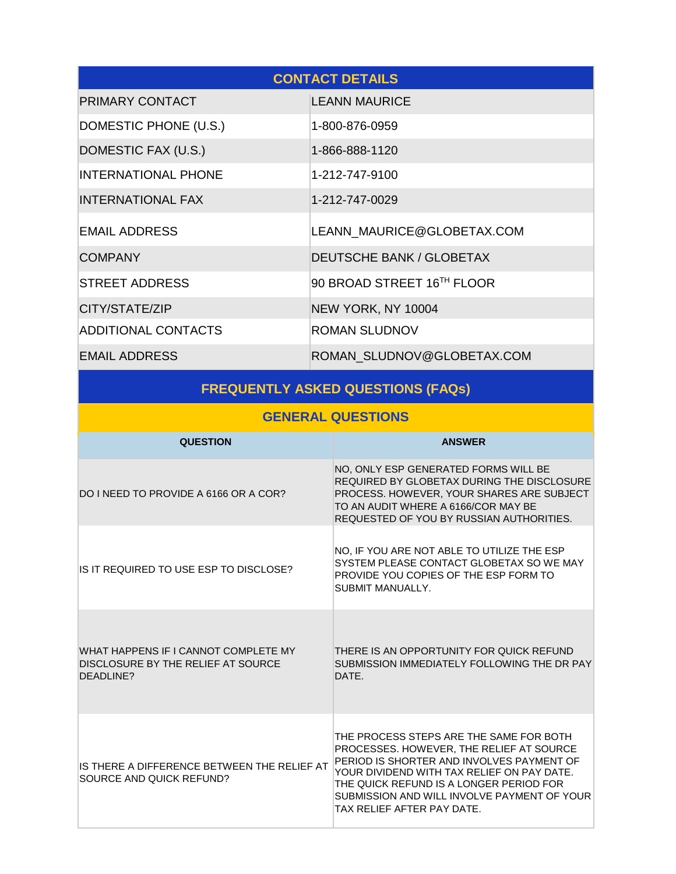| <b>CONTACT DETAILS</b>     |                            |  |
|----------------------------|----------------------------|--|
| PRIMARY CONTACT            | <b>LEANN MAURICE</b>       |  |
| DOMESTIC PHONE (U.S.)      | 1-800-876-0959             |  |
| DOMESTIC FAX (U.S.)        | 1-866-888-1120             |  |
| <b>INTERNATIONAL PHONE</b> | 1-212-747-9100             |  |
| <b>INTERNATIONAL FAX</b>   | 1-212-747-0029             |  |
| <b>EMAIL ADDRESS</b>       | LEANN MAURICE@GLOBETAX.COM |  |
| <b>COMPANY</b>             | DEUTSCHE BANK / GLOBETAX   |  |
| <b>STREET ADDRESS</b>      | 90 BROAD STREET 16TH FLOOR |  |
| CITY/STATE/ZIP             | NEW YORK, NY 10004         |  |
| <b>ADDITIONAL CONTACTS</b> | <b>ROMAN SLUDNOV</b>       |  |
| <b>EMAIL ADDRESS</b>       | ROMAN SLUDNOV@GLOBETAX.COM |  |

# **FREQUENTLY ASKED QUESTIONS (FAQs)**

## **GENERAL QUESTIONS**

| <b>QUESTION</b>                                                                         | <b>ANSWER</b>                                                                                                                                                                                                                                                                                           |
|-----------------------------------------------------------------------------------------|---------------------------------------------------------------------------------------------------------------------------------------------------------------------------------------------------------------------------------------------------------------------------------------------------------|
| DO I NEED TO PROVIDE A 6166 OR A COR?                                                   | NO, ONLY ESP GENERATED FORMS WILL BE<br>REQUIRED BY GLOBETAX DURING THE DISCLOSURE<br>PROCESS. HOWEVER, YOUR SHARES ARE SUBJECT<br>TO AN AUDIT WHERE A 6166/COR MAY BE<br>REQUESTED OF YOU BY RUSSIAN AUTHORITIES.                                                                                      |
| IS IT REQUIRED TO USE ESP TO DISCLOSE?                                                  | NO, IF YOU ARE NOT ABLE TO UTILIZE THE ESP<br>SYSTEM PLEASE CONTACT GLOBETAX SO WE MAY<br>PROVIDE YOU COPIES OF THE ESP FORM TO<br>SUBMIT MANUALLY.                                                                                                                                                     |
| WHAT HAPPENS IF I CANNOT COMPLETE MY<br>DISCLOSURE BY THE RELIEF AT SOURCE<br>DEADLINE? | THERE IS AN OPPORTUNITY FOR QUICK REFUND<br>SUBMISSION IMMEDIATELY FOLLOWING THE DR PAY<br>DATE.                                                                                                                                                                                                        |
| IS THERE A DIFFERENCE BETWEEN THE RELIEF AT<br>SOURCE AND QUICK REFUND?                 | THE PROCESS STEPS ARE THE SAME FOR BOTH.<br>PROCESSES. HOWEVER, THE RELIEF AT SOURCE<br>PERIOD IS SHORTER AND INVOLVES PAYMENT OF<br>YOUR DIVIDEND WITH TAX RELIEF ON PAY DATE.<br>THE QUICK REFUND IS A LONGER PERIOD FOR<br>SUBMISSION AND WILL INVOLVE PAYMENT OF YOUR<br>TAX RELIEF AFTER PAY DATE. |